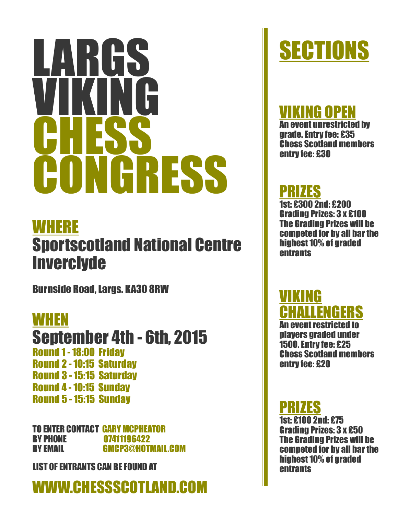# RGS VIKING **CHESS** CONGRESS

## WHERE Sportscotland National Centre **Inverclyde**

Burnside Road, Largs. KA30 8RW

WHEN September 4th - 6th, 2015 Round 1 -18:00 Friday Round 2 -10:15 Saturday Round 3 -15:15 Saturday Round 4 -10:15 Sunday Round 5 -15:15 Sunday

TO ENTER CONTACT GARY MCPHEATOR BY PHONE 07411196422 BY EMAIL GMCP3@HOTMAIL.COM

LIST OF ENTRANTS CAN BE FOUND AT **Example 20** and the entrants

# WWW.CHESSSCOTLAND.COM

# **SECTIONS**

#### **IKING OPEN**

An event unrestricted by grade. Entry fee: £35 Chess Scotland members entry fee: £30

### PRIZES

1st: £300 2nd: £200 Grading Prizes: 3 x £100 The Grading Prizes will be competed for by all bar the highest 10% of graded entrants

#### VIKING ENGERS

An event restricted to players graded under 1500. Entry fee: £25 Chess Scotland members entry fee: £20

#### PRIZES

1st: £100 2nd: £75 Grading Prizes: 3 x £50 The Grading Prizes will be competed for by all bar the highest 10% of graded